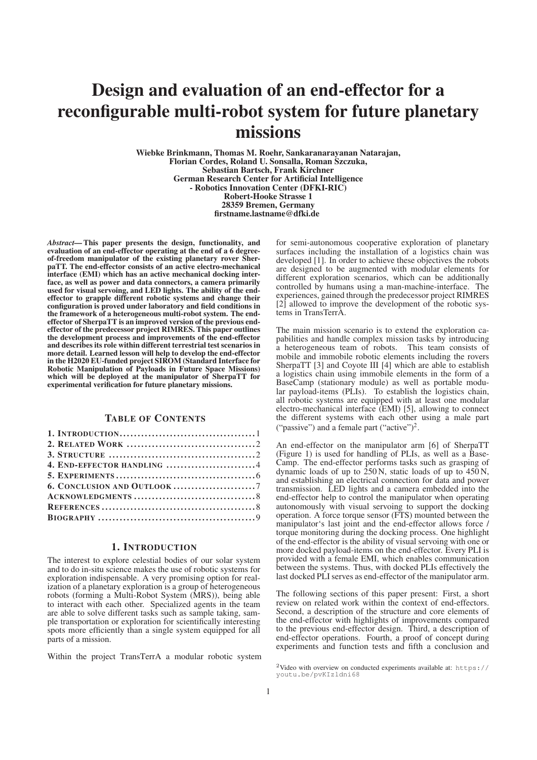# Design and evaluation of an end-effector for a reconfigurable multi-robot system for future planetary missions

Wiebke Brinkmann, Thomas M. Roehr, Sankaranarayanan Natarajan, Florian Cordes, Roland U. Sonsalla, Roman Szczuka, Sebastian Bartsch, Frank Kirchner German Research Center for Artificial Intelligence - Robotics Innovation Center (DFKI-RIC) Robert-Hooke Strasse 1 28359 Bremen, Germany firstname.lastname@dfki.de

*Abstract—*This paper presents the design, functionality, and evaluation of an end-effector operating at the end of a 6 degreeof-freedom manipulator of the existing planetary rover SherpaTT. The end-effector consists of an active electro-mechanical interface (EMI) which has an active mechanical docking interface, as well as power and data connectors, a camera primarily used for visual servoing, and LED lights. The ability of the endeffector to grapple different robotic systems and change their configuration is proved under laboratory and field conditions in the framework of a heterogeneous multi-robot system. The endeffector of SherpaTT is an improved version of the previous endeffector of the predecessor project RIMRES. This paper outlines the development process and improvements of the end-effector and describes its role within different terrestrial test scenarios in more detail. Learned lesson will help to develop the end-effector in the H2020 EU-funded project SIROM (Standard Interface for Robotic Manipulation of Payloads in Future Space Missions) which will be deployed at the manipulator of SherpaTT for experimental verification for future planetary missions.

# TABLE OF CONTENTS

| 6. CONCLUSION AND OUTLOOK7 |  |
|----------------------------|--|
|                            |  |
|                            |  |
|                            |  |

# 1. INTRODUCTION

The interest to explore celestial bodies of our solar system and to do in-situ science makes the use of robotic systems for exploration indispensable. A very promising option for realization of a planetary exploration is a group of heterogeneous robots (forming a Multi-Robot System (MRS)), being able to interact with each other. Specialized agents in the team are able to solve different tasks such as sample taking, sample transportation or exploration for scientifically interesting spots more efficiently than a single system equipped for all parts of a mission.

Within the project TransTerrA a modular robotic system

for semi-autonomous cooperative exploration of planetary surfaces including the installation of a logistics chain was developed [1]. In order to achieve these objectives the robots are designed to be augmented with modular elements for different exploration scenarios, which can be additionally controlled by humans using a man-machine-interface. The experiences, gained through the predecessor project RIMRES [2] allowed to improve the development of the robotic systems in TransTerrA.

The main mission scenario is to extend the exploration capabilities and handle complex mission tasks by introducing a heterogeneous team of robots. This team consists of mobile and immobile robotic elements including the rovers SherpaTT [3] and Coyote III [4] which are able to establish a logistics chain using immobile elements in the form of a BaseCamp (stationary module) as well as portable modular payload-items (PLIs). To establish the logistics chain, all robotic systems are equipped with at least one modular electro-mechanical interface (EMI) [5], allowing to connect the different systems with each other using a male part ("passive") and a female part ("active")<sup>2</sup>.

An end-effector on the manipulator arm [6] of SherpaTT (Figure 1) is used for handling of PLIs, as well as a Base-Camp. The end-effector performs tasks such as grasping of dynamic loads of up to  $250$  N, static loads of up to  $450$  N, and establishing an electrical connection for data and power transmission. LED lights and a camera embedded into the end-effector help to control the manipulator when operating autonomously with visual servoing to support the docking operation. A force torque sensor (FTS) mounted between the manipulator's last joint and the end-effector allows force / torque monitoring during the docking process. One highlight of the end-effector is the ability of visual servoing with one or more docked payload-items on the end-effector. Every PLI is provided with a female EMI, which enables communication between the systems. Thus, with docked PLIs effectively the last docked PLI serves as end-effector of the manipulator arm.

The following sections of this paper present: First, a short review on related work within the context of end-effectors. Second, a description of the structure and core elements of the end-effector with highlights of improvements compared to the previous end-effector design. Third, a description of end-effector operations. Fourth, a proof of concept during experiments and function tests and fifth a conclusion and

 $2$ Video with overview on conducted experiments available at: https:// youtu.be/pvKIzldni68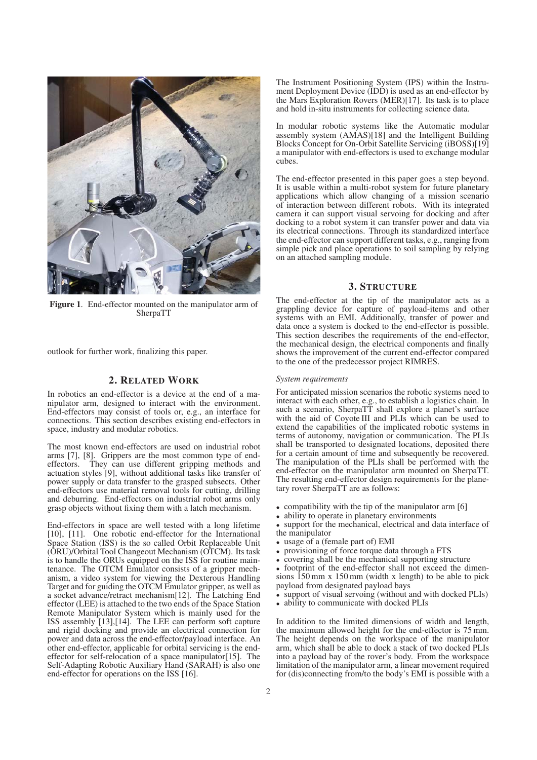

Figure 1. End-effector mounted on the manipulator arm of SherpaTT

outlook for further work, finalizing this paper.

# 2. RELATED WORK

In robotics an end-effector is a device at the end of a manipulator arm, designed to interact with the environment. End-effectors may consist of tools or, e.g., an interface for connections. This section describes existing end-effectors in space, industry and modular robotics.

The most known end-effectors are used on industrial robot arms [7], [8]. Grippers are the most common type of end-<br>effectors They can use different gripping methods and They can use different gripping methods and actuation styles [9], without additional tasks like transfer of power supply or data transfer to the grasped subsects. Other end-effectors use material removal tools for cutting, drilling and deburring. End-effectors on industrial robot arms only grasp objects without fixing them with a latch mechanism.

End-effectors in space are well tested with a long lifetime [10], [11]. One robotic end-effector for the International Space Station (ISS) is the so called Orbit Replaceable Unit (ORU)/Orbital Tool Changeout Mechanism (OTCM). Its task is to handle the ORUs equipped on the ISS for routine maintenance. The OTCM Emulator consists of a gripper mechanism, a video system for viewing the Dexterous Handling Target and for guiding the OTCM Emulator gripper, as well as a socket advance/retract mechanism[12]. The Latching End effector (LEE) is attached to the two ends of the Space Station Remote Manipulator System which is mainly used for the ISS assembly [13],[14]. The LEE can perform soft capture and rigid docking and provide an electrical connection for power and data across the end-effector/payload interface. An other end-effector, applicable for orbital servicing is the endeffector for self-relocation of a space manipulator[15]. The Self-Adapting Robotic Auxiliary Hand (SARAH) is also one end-effector for operations on the ISS [16].

The Instrument Positioning System (IPS) within the Instrument Deployment Device (IDD) is used as an end-effector by the Mars Exploration Rovers (MER)[17]. Its task is to place and hold in-situ instruments for collecting science data.

In modular robotic systems like the Automatic modular assembly system (AMAS)[18] and the Intelligent Building Blocks Concept for On-Orbit Satellite Servicing (iBOSS)[19] a manipulator with end-effectors is used to exchange modular cubes.

The end-effector presented in this paper goes a step beyond. It is usable within a multi-robot system for future planetary applications which allow changing of a mission scenario of interaction between different robots. With its integrated camera it can support visual servoing for docking and after docking to a robot system it can transfer power and data via its electrical connections. Through its standardized interface the end-effector can support different tasks, e.g., ranging from simple pick and place operations to soil sampling by relying on an attached sampling module.

# 3. STRUCTURE

The end-effector at the tip of the manipulator acts as a grappling device for capture of payload-items and other systems with an EMI. Additionally, transfer of power and data once a system is docked to the end-effector is possible. This section describes the requirements of the end-effector, the mechanical design, the electrical components and finally shows the improvement of the current end-effector compared to the one of the predecessor project RIMRES.

#### *System requirements*

For anticipated mission scenarios the robotic systems need to interact with each other, e.g., to establish a logistics chain. In such a scenario, SherpaTT shall explore a planet's surface with the aid of Covote III and PLIs which can be used to extend the capabilities of the implicated robotic systems in terms of autonomy, navigation or communication. The PLIs shall be transported to designated locations, deposited there for a certain amount of time and subsequently be recovered. The manipulation of the PLIs shall be performed with the end-effector on the manipulator arm mounted on SherpaTT. The resulting end-effector design requirements for the planetary rover SherpaTT are as follows:

- compatibility with the tip of the manipulator arm [6]
- ability to operate in planetary environments
- support for the mechanical, electrical and data interface of the manipulator
- usage of a (female part of) EMI
- provisioning of force torque data through a FTS
- covering shall be the mechanical supporting structure

• footprint of the end-effector shall not exceed the dimensions  $150 \text{ mm}$  x  $150 \text{ mm}$  (width x length) to be able to pick payload from designated payload bays

• support of visual servoing (without and with docked PLIs)

• ability to communicate with docked PLIs

In addition to the limited dimensions of width and length, the maximum allowed height for the end-effector is 75 mm. The height depends on the workspace of the manipulator arm, which shall be able to dock a stack of two docked PLIs into a payload bay of the rover's body. From the workspace limitation of the manipulator arm, a linear movement required for (dis)connecting from/to the body's EMI is possible with a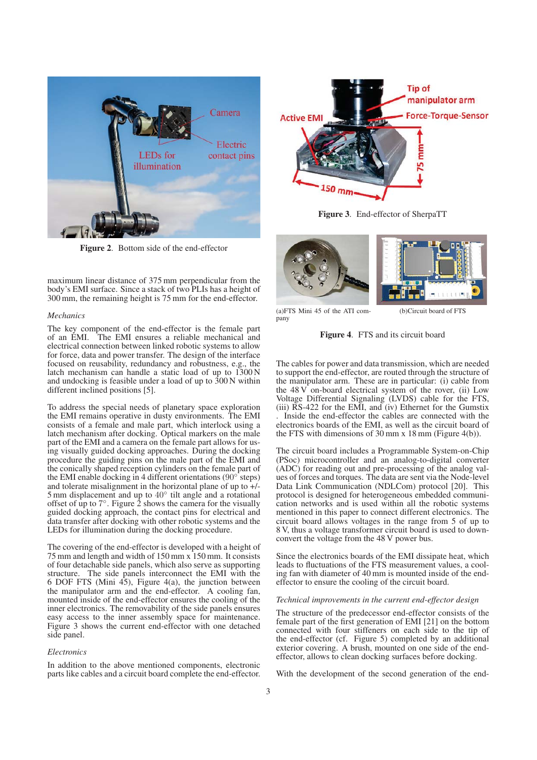

Figure 2. Bottom side of the end-effector

maximum linear distance of 375 mm perpendicular from the body's EMI surface. Since a stack of two PLIs has a height of 300 mm, the remaining height is 75 mm for the end-effector.

#### *Mechanics*

The key component of the end-effector is the female part of an EMI. The EMI ensures a reliable mechanical and electrical connection between linked robotic systems to allow for force, data and power transfer. The design of the interface focused on reusability, redundancy and robustness, e.g., the latch mechanism can handle a static load of up to 1300 N and undocking is feasible under a load of up to 300 N within different inclined positions [5].

To address the special needs of planetary space exploration the EMI remains operative in dusty environments. The EMI consists of a female and male part, which interlock using a latch mechanism after docking. Optical markers on the male part of the EMI and a camera on the female part allows for using visually guided docking approaches. During the docking procedure the guiding pins on the male part of the EMI and the conically shaped reception cylinders on the female part of the EMI enable docking in 4 different orientations (90◦ steps) and tolerate misalignment in the horizontal plane of up to +/- 5 mm displacement and up to  $40^{\circ}$  tilt angle and a rotational offset of up to  $7^\circ$ . Figure 2 shows the camera for the visually guided docking approach, the contact pins for electrical and data transfer after docking with other robotic systems and the LEDs for illumination during the docking procedure.

The covering of the end-effector is developed with a height of 75 mm and length and width of 150 mm x 150 mm. It consists of four detachable side panels, which also serve as supporting structure. The side panels interconnect the EMI with the 6 DOF FTS (Mini 45), Figure 4(a), the junction between the manipulator arm and the end-effector. A cooling fan, mounted inside of the end-effector ensures the cooling of the inner electronics. The removability of the side panels ensures easy access to the inner assembly space for maintenance. Figure 3 shows the current end-effector with one detached side panel.

#### *Electronics*

In addition to the above mentioned components, electronic parts like cables and a circuit board complete the end-effector.



Figure 3. End-effector of SherpaTT



(a)FTS Mini 45 of the ATI company

(b)Circuit board of FTS



The cables for power and data transmission, which are needed to support the end-effector, are routed through the structure of the manipulator arm. These are in particular: (i) cable from the  $48 \text{ V}$  on-board electrical system of the rover, (ii) Low Voltage Differential Signaling (LVDS) cable for the FTS, (iii) RS-422 for the EMI, and (iv) Ethernet for the Gumstix . Inside the end-effector the cables are connected with the electronics boards of the EMI, as well as the circuit board of the FTS with dimensions of  $30 \text{ mm}$  x 18 mm (Figure 4(b)).

The circuit board includes a Programmable System-on-Chip (PSoc) microcontroller and an analog-to-digital converter (ADC) for reading out and pre-processing of the analog values of forces and torques. The data are sent via the Node-level Data Link Communication (NDLCom) protocol [20]. This protocol is designed for heterogeneous embedded communication networks and is used within all the robotic systems mentioned in this paper to connect different electronics. The circuit board allows voltages in the range from 5 of up to 8 V, thus a voltage transformer circuit board is used to downconvert the voltage from the 48 V power bus.

Since the electronics boards of the EMI dissipate heat, which leads to fluctuations of the FTS measurement values, a cooling fan with diameter of 40 mm is mounted inside of the endeffector to ensure the cooling of the circuit board.

#### *Technical improvements in the current end-effector design*

The structure of the predecessor end-effector consists of the female part of the first generation of EMI [21] on the bottom connected with four stiffeners on each side to the tip of the end-effector (cf. Figure 5) completed by an additional exterior covering. A brush, mounted on one side of the endeffector, allows to clean docking surfaces before docking.

With the development of the second generation of the end-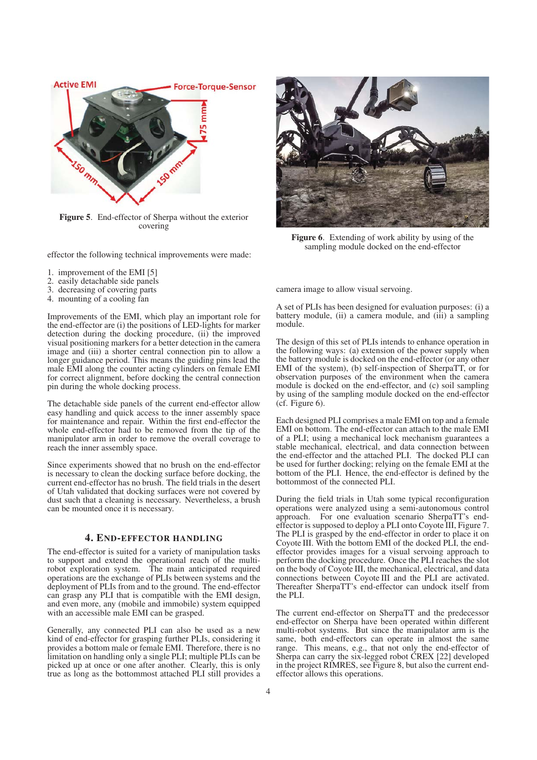

Figure 5. End-effector of Sherpa without the exterior covering

effector the following technical improvements were made:

- 1. improvement of the EMI [5]
- 2. easily detachable side panels
- 3. decreasing of covering parts
- 4. mounting of a cooling fan

Improvements of the EMI, which play an important role for the end-effector are (i) the positions of LED-lights for marker detection during the docking procedure, (ii) the improved visual positioning markers for a better detection in the camera image and (iii) a shorter central connection pin to allow a longer guidance period. This means the guiding pins lead the male EMI along the counter acting cylinders on female EMI for correct alignment, before docking the central connection pin during the whole docking process.

The detachable side panels of the current end-effector allow easy handling and quick access to the inner assembly space for maintenance and repair. Within the first end-effector the whole end-effector had to be removed from the tip of the manipulator arm in order to remove the overall coverage to reach the inner assembly space.

Since experiments showed that no brush on the end-effector is necessary to clean the docking surface before docking, the current end-effector has no brush. The field trials in the desert of Utah validated that docking surfaces were not covered by dust such that a cleaning is necessary. Nevertheless, a brush can be mounted once it is necessary.

# 4. END-EFFECTOR HANDLING

The end-effector is suited for a variety of manipulation tasks to support and extend the operational reach of the multirobot exploration system. The main anticipated required operations are the exchange of PLIs between systems and the deployment of PLIs from and to the ground. The end-effector can grasp any PLI that is compatible with the EMI design, and even more, any (mobile and immobile) system equipped with an accessible male EMI can be grasped.

Generally, any connected PLI can also be used as a new kind of end-effector for grasping further PLIs, considering it provides a bottom male or female EMI. Therefore, there is no limitation on handling only a single PLI; multiple PLIs can be picked up at once or one after another. Clearly, this is only true as long as the bottommost attached PLI still provides a



Figure 6. Extending of work ability by using of the sampling module docked on the end-effector

camera image to allow visual servoing.

A set of PLIs has been designed for evaluation purposes: (i) a battery module, (ii) a camera module, and (iii) a sampling module.

The design of this set of PLIs intends to enhance operation in the following ways: (a) extension of the power supply when the battery module is docked on the end-effector (or any other EMI of the system), (b) self-inspection of SherpaTT, or for observation purposes of the environment when the camera module is docked on the end-effector, and (c) soil sampling by using of the sampling module docked on the end-effector (cf. Figure 6).

Each designed PLI comprises a male EMI on top and a female EMI on bottom. The end-effector can attach to the male EMI of a PLI; using a mechanical lock mechanism guarantees a stable mechanical, electrical, and data connection between the end-effector and the attached PLI. The docked PLI can be used for further docking; relying on the female EMI at the bottom of the PLI. Hence, the end-effector is defined by the bottommost of the connected PLI.

During the field trials in Utah some typical reconfiguration operations were analyzed using a semi-autonomous control approach. For one evaluation scenario SherpaTT's endeffector is supposed to deploy a PLI onto Coyote III, Figure 7. The PLI is grasped by the end-effector in order to place it on Coyote III. With the bottom EMI of the docked PLI, the endeffector provides images for a visual servoing approach to perform the docking procedure. Once the PLI reaches the slot on the body of Coyote III, the mechanical, electrical, and data connections between Coyote III and the PLI are activated. Thereafter SherpaTT's end-effector can undock itself from the PLI.

The current end-effector on SherpaTT and the predecessor end-effector on Sherpa have been operated within different multi-robot systems. But since the manipulator arm is the same, both end-effectors can operate in almost the same range. This means, e.g., that not only the end-effector of Sherpa can carry the six-legged robot CREX [22] developed in the project RIMRES, see Figure 8, but also the current endeffector allows this operations.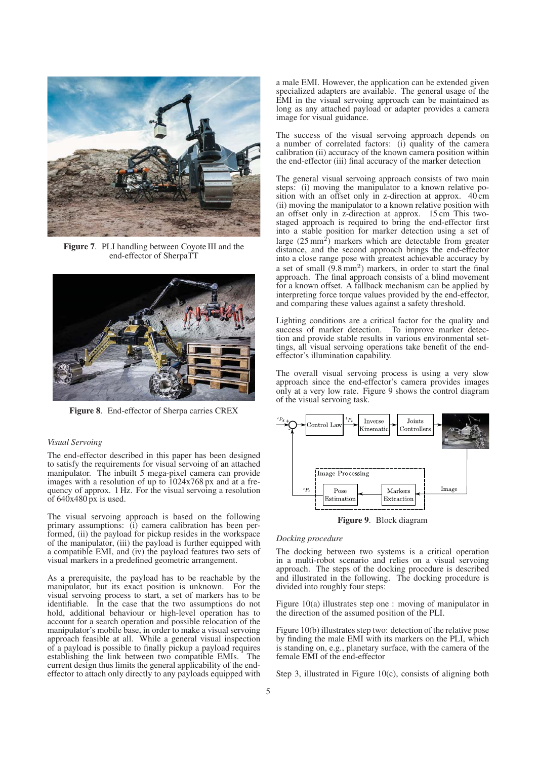

Figure 7. PLI handling between Coyote III and the end-effector of SherpaTT



Figure 8. End-effector of Sherpa carries CREX

#### *Visual Servoing*

The end-effector described in this paper has been designed to satisfy the requirements for visual servoing of an attached manipulator. The inbuilt 5 mega-pixel camera can provide images with a resolution of up to 1024x768 px and at a frequency of approx. 1 Hz. For the visual servoing a resolution of  $640x480$  px is used.

The visual servoing approach is based on the following primary assumptions: (i) camera calibration has been performed, (ii) the payload for pickup resides in the workspace of the manipulator, (iii) the payload is further equipped with a compatible EMI, and (iv) the payload features two sets of visual markers in a predefined geometric arrangement.

As a prerequisite, the payload has to be reachable by the manipulator, but its exact position is unknown. For the visual servoing process to start, a set of markers has to be identifiable. In the case that the two assumptions do not hold, additional behaviour or high-level operation has to account for a search operation and possible relocation of the manipulator's mobile base, in order to make a visual servoing approach feasible at all. While a general visual inspection of a payload is possible to finally pickup a payload requires establishing the link between two compatible EMIs. The current design thus limits the general applicability of the endeffector to attach only directly to any payloads equipped with

a male EMI. However, the application can be extended given specialized adapters are available. The general usage of the EMI in the visual servoing approach can be maintained as long as any attached payload or adapter provides a camera image for visual guidance.

The success of the visual servoing approach depends on a number of correlated factors: (i) quality of the camera calibration (ii) accuracy of the known camera position within the end-effector (iii) final accuracy of the marker detection

The general visual servoing approach consists of two main steps: (i) moving the manipulator to a known relative position with an offset only in z-direction at approx. 40 cm (ii) moving the manipulator to a known relative position with an offset only in z-direction at approx. 15 cm This twostaged approach is required to bring the end-effector first into a stable position for marker detection using a set of large  $(25 \text{ mm}^2)$  markers which are detectable from greater distance, and the second approach brings the end-effector into a close range pose with greatest achievable accuracy by a set of small  $(9.8 \text{ mm}^2)$  markers, in order to start the final approach. The final approach consists of a blind movement for a known offset. A fallback mechanism can be applied by interpreting force torque values provided by the end-effector, and comparing these values against a safety threshold.

Lighting conditions are a critical factor for the quality and success of marker detection. To improve marker detection and provide stable results in various environmental settings, all visual servoing operations take benefit of the endeffector's illumination capability.

The overall visual servoing process is using a very slow approach since the end-effector's camera provides images only at a very low rate. Figure 9 shows the control diagram of the visual servoing task.



Figure 9. Block diagram

#### *Docking procedure*

The docking between two systems is a critical operation in a multi-robot scenario and relies on a visual servoing approach. The steps of the docking procedure is described and illustrated in the following. The docking procedure is divided into roughly four steps:

Figure 10(a) illustrates step one : moving of manipulator in the direction of the assumed position of the PLI.

Figure 10(b) illustrates step two: detection of the relative pose by finding the male EMI with its markers on the PLI, which is standing on, e.g., planetary surface, with the camera of the female EMI of the end-effector

Step 3, illustrated in Figure 10(c), consists of aligning both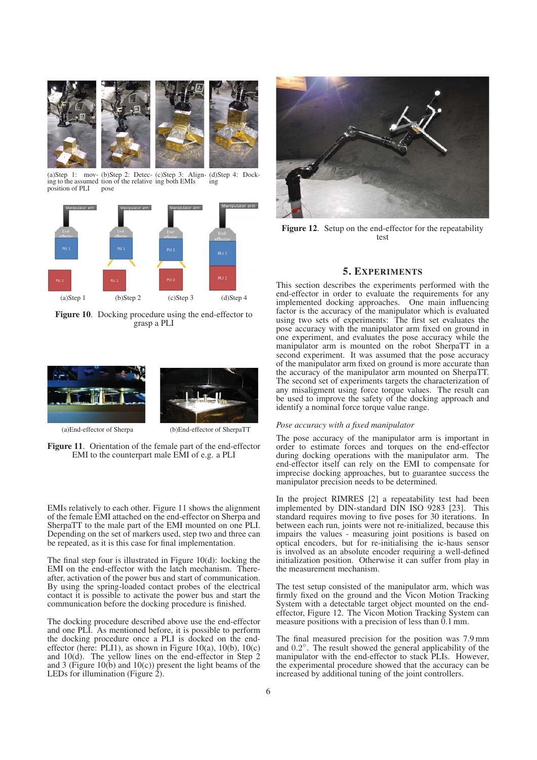

(a)Step 1: mov-(b)Step 2: Detec-(c)Step 3: Align-(d)Step 4: Docking to the assumed tion of the relative ing both EMIs position of PLI pose ing



Figure 10. Docking procedure using the end-effector to grasp a PLI



(a)End-effector of Sherpa (b)End-effector of SherpaTT

Figure 11. Orientation of the female part of the end-effector EMI to the counterpart male EMI of e.g. a PLI

EMIs relatively to each other. Figure 11 shows the alignment of the female EMI attached on the end-effector on Sherpa and SherpaTT to the male part of the EMI mounted on one PLI. Depending on the set of markers used, step two and three can be repeated, as it is this case for final implementation.

The final step four is illustrated in Figure 10(d): locking the EMI on the end-effector with the latch mechanism. Thereafter, activation of the power bus and start of communication. By using the spring-loaded contact probes of the electrical contact it is possible to activate the power bus and start the communication before the docking procedure is finished.

The docking procedure described above use the end-effector and one PLI. As mentioned before, it is possible to perform the docking procedure once a PLI is docked on the endeffector (here: PLI1), as shown in Figure 10(a),  $10(b)$ ,  $10(c)$ and 10(d). The yellow lines on the end-effector in Step 2 and 3 (Figure 10(b) and 10(c)) present the light beams of the LEDs for illumination (Figure  $\hat{2}$ ).



Figure 12. Setup on the end-effector for the repeatability test

# 5. EXPERIMENTS

This section describes the experiments performed with the end-effector in order to evaluate the requirements for any implemented docking approaches. One main influencing factor is the accuracy of the manipulator which is evaluated using two sets of experiments: The first set evaluates the pose accuracy with the manipulator arm fixed on ground in one experiment, and evaluates the pose accuracy while the manipulator arm is mounted on the robot SherpaTT in a second experiment. It was assumed that the pose accuracy of the manipulator arm fixed on ground is more accurate than the accuracy of the manipulator arm mounted on SherpaTT. The second set of experiments targets the characterization of any misaligment using force torque values. The result can be used to improve the safety of the docking approach and identify a nominal force torque value range.

#### *Pose accuracy with a fixed manipulator*

The pose accuracy of the manipulator arm is important in order to estimate forces and torques on the end-effector during docking operations with the manipulator arm. The end-effector itself can rely on the EMI to compensate for imprecise docking approaches, but to guarantee success the manipulator precision needs to be determined.

In the project RIMRES [2] a repeatability test had been implemented by DIN-standard DIN ISO 9283 [23]. This standard requires moving to five poses for 30 iterations. In between each run, joints were not re-initialized, because this impairs the values - measuring joint positions is based on optical encoders, but for re-initialising the ic-haus sensor is involved as an absolute encoder requiring a well-defined initialization position. Otherwise it can suffer from play in the measurement mechanism.

The test setup consisted of the manipulator arm, which was firmly fixed on the ground and the Vicon Motion Tracking System with a detectable target object mounted on the endeffector, Figure 12. The Vicon Motion Tracking System can measure positions with a precision of less than 0.1 mm.

The final measured precision for the position was 7.9 mm and 0.2◦. The result showed the general applicability of the manipulator with the end-effector to stack PLIs. However, the experimental procedure showed that the accuracy can be increased by additional tuning of the joint controllers.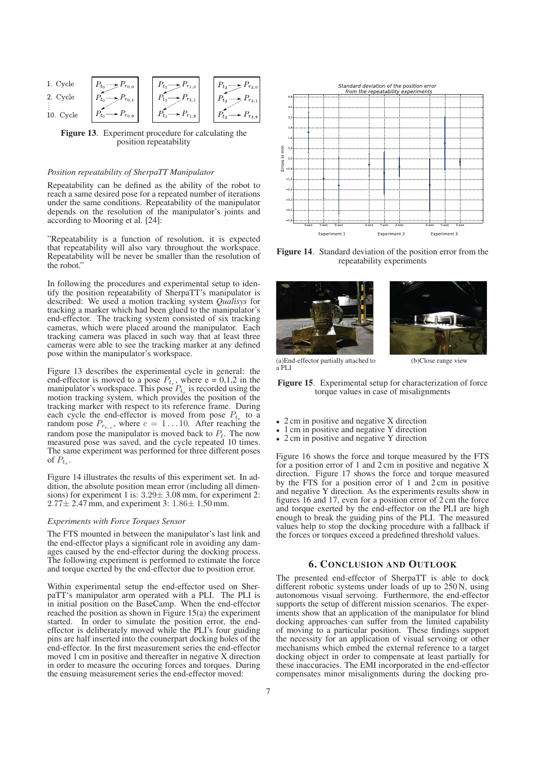

Figure 13. Experiment procedure for calculating the position repeatability

### *Position repeatability of SherpaTT Manipulator*

Repeatability can be defined as the ability of the robot to reach a same desired pose for a repeated number of iterations under the same conditions. Repeatability of the manipulator depends on the resolution of the manipulator's joints and according to Mooring et al. [24]:

"Repeatability is a function of resolution, it is expected that repeatability will also vary throughout the workspace. Repeatability will be never be smaller than the resolution of the robot."

In following the procedures and experimental setup to identify the position repeatability of SherpaTT's manipulator is described: We used a motion tracking system *Qualisys* for tracking a marker which had been glued to the manipulator's end-effector. The tracking system consisted of six tracking cameras, which were placed around the manipulator. Each tracking camera was placed in such way that at least three cameras were able to see the tracking marker at any defined pose within the manipulator's workspace.

Figure 13 describes the experimental cycle in general: the end-effector is moved to a pose  $P_{t_e}$ , where e = 0,1,2 in the manipulator's workspace. This pose  $P_{t_e}$  is recorded using the motion tracking system, which provides the position of the tracking marker with respect to its reference frame. During each cycle the end-effector is moved from pose  $P_{t_e}$  to a random pose  $P_{r_{e,c}}$ , where  $c = 1 \dots 10$ . After reaching the random pose the manipulator is moved back to  $P_t$ . The now measured pose was saved, and the cycle repeated 10 times. The same experiment was performed for three different poses of  $P_t$ .

Figure 14 illustrates the results of this experiment set. In addition, the absolute position mean error (including all dimensions) for experiment 1 is: 3.29± 3.08 mm, for experiment 2:  $2.77 \pm 2.47$  mm, and experiment 3:  $1.86 \pm 1.50$  mm.

#### *Experiments with Force Torques Sensor*

The FTS mounted in between the manipulator's last link and the end-effector plays a significant role in avoiding any damages caused by the end-effector during the docking process. The following experiment is performed to estimate the force and torque exerted by the end-effector due to position error.

Within experimental setup the end-effector used on SherpaTT's manipulator arm operated with a PLI. The PLI is in initial position on the BaseCamp. When the end-effector reached the position as shown in Figure 15(a) the experiment started. In order to simulate the position error, the endeffector is deliberately moved while the PLI's four guiding pins are half inserted into the counerpart docking holes of the end-effector. In the first measurement series the end-effector moved 1 cm in positive and thereafter in negative X direction in order to measure the occuring forces and torques. During the ensuing measurement series the end-effector moved:



Figure 14. Standard deviation of the position error from the repeatability experiments





(a)End-effector partially attached to a PLI

Figure 15. Experimental setup for characterization of force torque values in case of misalignments

- 2 cm in positive and negative X direction
- 1 cm in positive and negative Y direction
- 2 cm in positive and negative Y direction

Figure 16 shows the force and torque measured by the FTS for a position error of 1 and 2 cm in positive and negative X direction. Figure 17 shows the force and torque measured by the FTS for a position error of 1 and 2 cm in positive and negative Y direction. As the experiments results show in figures 16 and 17, even for a position error of 2 cm the force and torque exerted by the end-effector on the PLI are high enough to break the guiding pins of the PLI. The measured values help to stop the docking procedure with a fallback if the forces or torques exceed a predefined threshold values.

# 6. CONCLUSION AND OUTLOOK

The presented end-effector of SherpaTT is able to dock different robotic systems under loads of up to 250 N, using autonomous visual servoing. Furthermore, the end-effector supports the setup of different mission scenarios. The experiments show that an application of the manipulator for blind docking approaches can suffer from the limited capability of moving to a particular position. These findings support the necessity for an application of visual servoing or other mechanisms which embed the external reference to a target docking object in order to compensate at least partially for these inaccuracies. The EMI incorporated in the end-effector compensates minor misalignments during the docking pro-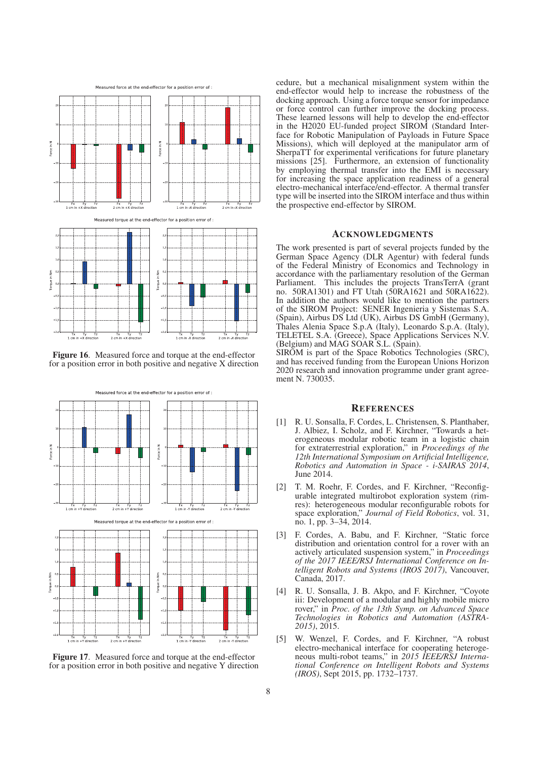

Figure 16. Measured force and torque at the end-effector for a position error in both positive and negative X direction



Figure 17. Measured force and torque at the end-effector for a position error in both positive and negative Y direction

cedure, but a mechanical misalignment system within the end-effector would help to increase the robustness of the docking approach. Using a force torque sensor for impedance or force control can further improve the docking process. These learned lessons will help to develop the end-effector in the H2020 EU-funded project SIROM (Standard Interface for Robotic Manipulation of Payloads in Future Space Missions), which will deployed at the manipulator arm of SherpaTT for experimental verifications for future planetary missions [25]. Furthermore, an extension of functionality by employing thermal transfer into the EMI is necessary for increasing the space application readiness of a general electro-mechanical interface/end-effector. A thermal transfer type will be inserted into the SIROM interface and thus within the prospective end-effector by SIROM.

#### ACKNOWLEDGMENTS

The work presented is part of several projects funded by the German Space Agency (DLR Agentur) with federal funds of the Federal Ministry of Economics and Technology in accordance with the parliamentary resolution of the German Parliament. This includes the projects TransTerrA (grant no. 50RA1301) and FT Utah (50RA1621 and 50RA1622). In addition the authors would like to mention the partners of the SIROM Project: SENER Ingenieria y Sistemas S.A. (Spain), Airbus DS Ltd (UK), Airbus DS GmbH (Germany), Thales Alenia Space S.p.A (Italy), Leonardo S.p.A. (Italy), TELETEL S.A. (Greece), Space Applications Services N.V. (Belgium) and MAG SOAR S.L. (Spain).

SIROM is part of the Space Robotics Technologies (SRC), and has received funding from the European Unions Horizon 2020 research and innovation programme under grant agreement N. 730035.

# **REFERENCES**

- [1] R. U. Sonsalla, F. Cordes, L. Christensen, S. Planthaber, J. Albiez, I. Scholz, and F. Kirchner, "Towards a heterogeneous modular robotic team in a logistic chain for extraterrestrial exploration," in *Proceedings of the 12th International Symposium on Artificial Intelligence, Robotics and Automation in Space - i-SAIRAS 2014*, June 2014.
- [2] T. M. Roehr, F. Cordes, and F. Kirchner, "Reconfigurable integrated multirobot exploration system (rimres): heterogeneous modular reconfigurable robots for space exploration," *Journal of Field Robotics*, vol. 31, no. 1, pp. 3–34, 2014.
- [3] F. Cordes, A. Babu, and F. Kirchner, "Static force distribution and orientation control for a rover with an actively articulated suspension system," in *Proceedings of the 2017 IEEE/RSJ International Conference on Intelligent Robots and Systems (IROS 2017)*, Vancouver, Canada, 2017.
- [4] R. U. Sonsalla, J. B. Akpo, and F. Kirchner, "Coyote iii: Development of a modular and highly mobile micro rover," in *Proc. of the 13th Symp. on Advanced Space Technologies in Robotics and Automation (ASTRA-2015)*, 2015.
- [5] W. Wenzel, F. Cordes, and F. Kirchner, "A robust electro-mechanical interface for cooperating heterogeneous multi-robot teams," in *2015 IEEE/RSJ International Conference on Intelligent Robots and Systems (IROS)*, Sept 2015, pp. 1732–1737.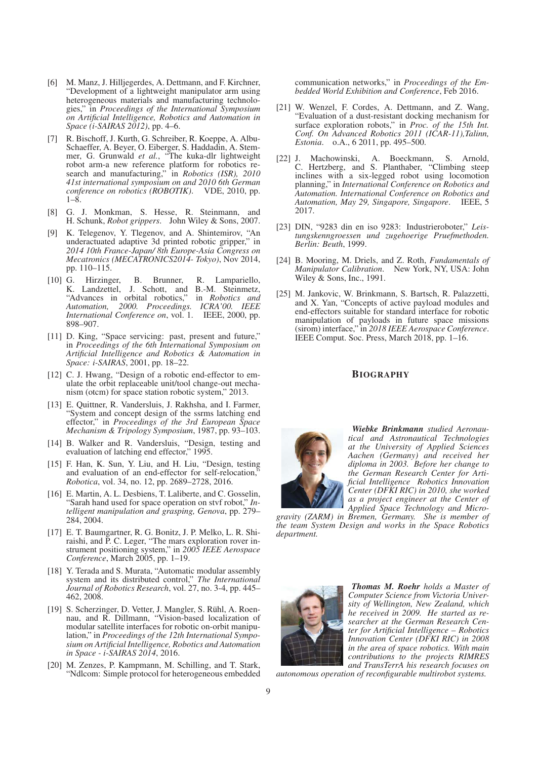- [6] M. Manz, J. Hilljegerdes, A. Dettmann, and F. Kirchner, "Development of a lightweight manipulator arm using heterogeneous materials and manufacturing technologies," in *Proceedings of the International Symposium on Artificial Intelligence, Robotics and Automation in Space (i-SAIRAS 2012)*, pp. 4–6.
- [7] R. Bischoff, J. Kurth, G. Schreiber, R. Koeppe, A. Albu-Schaeffer, A. Beyer, O. Eiberger, S. Haddadin, A. Stemmer, G. Grunwald *et al.*, "The kuka-dlr lightweight robot arm-a new reference platform for robotics research and manufacturing," in *Robotics (ISR), 2010 41st international symposium on and 2010 6th German conference on robotics (ROBOTIK)*. VDE, 2010, pp. 1–8.
- [8] G. J. Monkman, S. Hesse, R. Steinmann, and H. Schunk, *Robot grippers*. John Wiley & Sons, 2007.
- [9] K. Telegenov, Y. Tlegenov, and A. Shintemirov, "An underactuated adaptive 3d printed robotic gripper," in *2014 10th France-Japan/ 8th Europe-Asia Congress on Mecatronics (MECATRONICS2014- Tokyo)*, Nov 2014, pp. 110–115.
- [10] G. Hirzinger, B. Brunner, R. Lampariello, K. Landzettel, J. Schott, and B.-M. Steinmetz, "Advances in orbital robotics," in *Robotics and Automation, 2000. Proceedings. ICRA'00. IEEE International Conference on*, vol. 1. IEEE, 2000, pp. 898–907.
- [11] D. King, "Space servicing: past, present and future," in *Proceedings of the 6th International Symposium on Artificial Intelligence and Robotics & Automation in Space: i-SAIRAS*, 2001, pp. 18–22.
- [12] C. J. Hwang, "Design of a robotic end-effector to emulate the orbit replaceable unit/tool change-out mechanism (otcm) for space station robotic system," 2013.
- [13] E. Quittner, R. Vandersluis, J. Rakhsha, and I. Farmer, "System and concept design of the ssrms latching end effector," in *Proceedings of the 3rd European Space Mechanism & Tripology Symposium*, 1987, pp. 93–103.
- [14] B. Walker and R. Vandersluis, "Design, testing and evaluation of latching end effector," 1995.
- [15] F. Han, K. Sun, Y. Liu, and H. Liu, "Design, testing and evaluation of an end-effector for self-relocation, *Robotica*, vol. 34, no. 12, pp. 2689–2728, 2016.
- [16] E. Martin, A. L. Desbiens, T. Laliberte, and C. Gosselin, "Sarah hand used for space operation on stvf robot," *Intelligent manipulation and grasping, Genova*, pp. 279– 284, 2004.
- [17] E. T. Baumgartner, R. G. Bonitz, J. P. Melko, L. R. Shiraishi, and P. C. Leger, "The mars exploration rover instrument positioning system," in *2005 IEEE Aerospace Conference*, March 2005, pp. 1–19.
- [18] Y. Terada and S. Murata, "Automatic modular assembly system and its distributed control," *The International Journal of Robotics Research*, vol. 27, no. 3-4, pp. 445– 462, 2008.
- [19] S. Scherzinger, D. Vetter, J. Mangler, S. Rühl, A. Roennau, and R. Dillmann, "Vision-based localization of mat, and TV Emmann, the controller on-orbit manipulation," in *Proceedings of the 12th International Symposium on Artificial Intelligence, Robotics and Automation in Space - i-SAIRAS 2014*, 2016.
- [20] M. Zenzes, P. Kampmann, M. Schilling, and T. Stark, "Ndlcom: Simple protocol for heterogeneous embedded

communication networks," in *Proceedings of the Embedded World Exhibition and Conference*, Feb 2016.

- [21] W. Wenzel, F. Cordes, A. Dettmann, and Z. Wang, "Evaluation of a dust-resistant docking mechanism for surface exploration robots," in *Proc. of the 15th Int. Conf. On Advanced Robotics 2011 (ICAR-11),Talinn, Estonia*. o.A., 6 2011, pp. 495–500.
- [22] J. Machowinski, A. Boeckmann, S. Arnold, C. Hertzberg, and S. Planthaber, "Climbing steep inclines with a six-legged robot using locomotion planning," in *International Conference on Robotics and Automation. International Conference on Robotics and Automation, May 29, Singapore, Singapore*. IEEE, 5 2017.
- [23] DIN, "9283 din en iso 9283: Industrieroboter," *Leistungskenngroessen und zugehoerige Pruefmethoden. Berlin: Beuth*, 1999.
- [24] B. Mooring, M. Driels, and Z. Roth, *Fundamentals of Manipulator Calibration*. New York, NY, USA: John Wiley & Sons, Inc., 1991.
- [25] M. Jankovic, W. Brinkmann, S. Bartsch, R. Palazzetti, and X. Yan, "Concepts of active payload modules and end-effectors suitable for standard interface for robotic manipulation of payloads in future space missions (sirom) interface," in *2018 IEEE Aerospace Conference*. IEEE Comput. Soc. Press, March 2018, pp. 1–16.

# **BIOGRAPHY**



*Wiebke Brinkmann studied Aeronautical and Astronautical Technologies at the University of Applied Sciences Aachen (Germany) and received her diploma in 2003. Before her change to the German Research Center for Artificial Intelligence Robotics Innovation Center (DFKI RIC) in 2010, she worked as a project engineer at the Center of Applied Space Technology and Micro-*

*gravity (ZARM) in Bremen, Germany. She is member of the team System Design and works in the Space Robotics department.*



*Thomas M. Roehr holds a Master of Computer Science from Victoria University of Wellington, New Zealand, which he received in 2009. He started as researcher at the German Research Center for Artificial Intelligence – Robotics Innovation Center (DFKI RIC) in 2008 in the area of space robotics. With main contributions to the projects RIMRES and TransTerrA his research focuses on*

*autonomous operation of reconfigurable multirobot systems.*